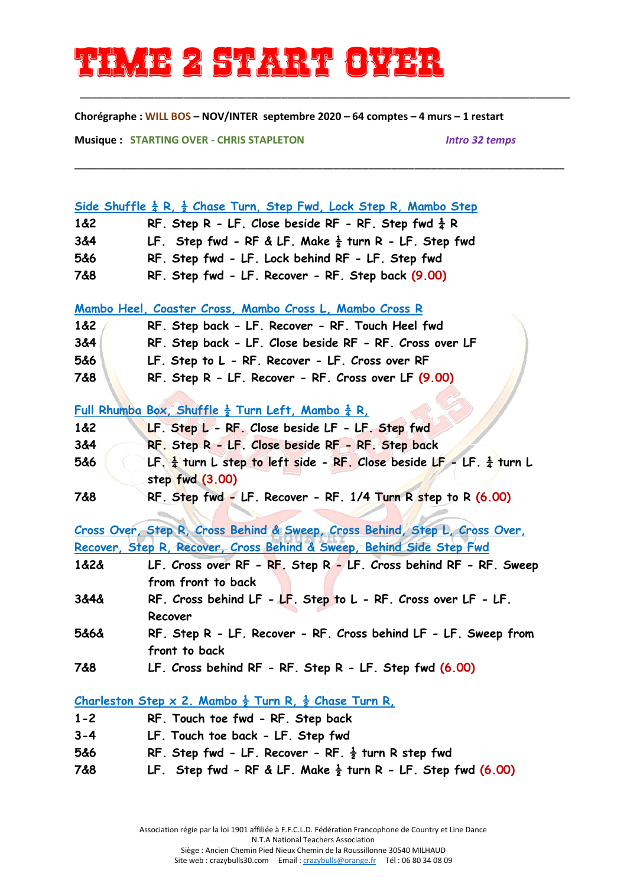## **Time 2 start over**

**Chorégraphe : WILL BOS – NOV/INTER septembre 2020 – 64 comptes – 4 murs – 1 restart**

\_\_\_\_\_\_\_\_\_\_\_\_\_\_\_\_\_\_\_\_\_\_\_\_\_\_\_\_\_\_\_\_\_\_\_\_\_\_\_\_\_\_\_\_\_\_\_\_\_\_\_\_\_\_\_\_\_\_\_\_\_\_\_\_\_\_\_\_\_\_\_\_\_\_\_\_\_\_\_\_\_\_\_\_\_

\_\_\_\_\_\_\_\_\_\_\_\_\_\_\_\_\_\_\_\_\_\_\_\_\_\_\_\_\_\_\_\_\_\_\_\_\_\_\_\_\_\_\_\_\_\_\_\_\_\_\_\_\_\_\_\_\_\_\_\_\_\_\_\_\_\_\_\_\_\_\_\_\_\_\_\_\_\_\_\_\_\_\_\_\_

**Musique : STARTING OVER - CHRIS STAPLETON** *Intro 32 temps* 

| <u>Side Shuffle <math>\frac{1}{4}</math> R, <math>\frac{1}{2}</math> Chase Turn, Step Fwd, Lock Step R, Mambo Step</u> |                                                                                                        |  |
|------------------------------------------------------------------------------------------------------------------------|--------------------------------------------------------------------------------------------------------|--|
| 1&2                                                                                                                    | RF. Step R - LF. Close beside RF - RF. Step fwd $\frac{1}{4}$ R                                        |  |
| 3&4                                                                                                                    | LF. Step fwd - RF & LF. Make $\frac{1}{2}$ turn R - LF. Step fwd                                       |  |
| 5&6                                                                                                                    | RF. Step fwd - LF. Lock behind RF - LF. Step fwd                                                       |  |
| 7&8                                                                                                                    | RF. Step fwd - LF. Recover - RF. Step back (9.00)                                                      |  |
| Mambo Heel, Coaster Cross, Mambo Cross L, Mambo Cross R                                                                |                                                                                                        |  |
| 1&82                                                                                                                   | RF. Step back - LF. Recover - RF. Touch Heel fwd                                                       |  |
| 3&4                                                                                                                    | RF. Step back - LF. Close beside RF - RF. Cross over LF                                                |  |
| 5&6                                                                                                                    | LF. Step to L - RF. Recover - LF. Cross over RF                                                        |  |
| 7&8                                                                                                                    | RF. Step R - LF. Recover - RF. Cross over LF (9.00)                                                    |  |
|                                                                                                                        |                                                                                                        |  |
|                                                                                                                        | <u>Full Rhumba Box, Shuffle <math>\frac{1}{2}</math> Turn Left, Mambo <math>\frac{1}{4}</math> R, </u> |  |
| 1&2                                                                                                                    | LF. Step L - RF. Close beside LF - LF. Step fwd                                                        |  |
| 3&4                                                                                                                    | RF. Step R - LF. Close beside RF - RF. Step back                                                       |  |
| 5&6                                                                                                                    | LF. $\frac{1}{4}$ turn L step to left side - RF. Close beside LF - LF. $\frac{1}{4}$ turn L            |  |
|                                                                                                                        | step fwd (3.00)                                                                                        |  |
| 7&8                                                                                                                    | RF. Step fwd - LF. Recover - RF. 1/4 Turn R step to R (6.00)                                           |  |
|                                                                                                                        |                                                                                                        |  |
|                                                                                                                        | Cross Over, Step R, Cross Behind & Sweep, Cross Behind, Step L, Cross Over,                            |  |
| Recover, Step R, Recover, Cross Behind & Sweep, Behind Side Step Fwd                                                   |                                                                                                        |  |
| 1&2&                                                                                                                   | LF. Cross over RF - RF. Step R - LF. Cross behind RF - RF. Sweep                                       |  |
|                                                                                                                        | from front to back                                                                                     |  |
| 3&4&                                                                                                                   | RF. Cross behind LF - LF. Step to L - RF. Cross over LF - LF.                                          |  |
|                                                                                                                        | Recover                                                                                                |  |
| 5&6&                                                                                                                   | RF. Step R - LF. Recover - RF. Cross behind LF - LF. Sweep from                                        |  |
|                                                                                                                        | front to back                                                                                          |  |
| 7&8                                                                                                                    | LF. Cross behind RF - RF. Step R - LF. Step fwd (6.00)                                                 |  |
| <u>Charleston Step x 2. Mambo <math>\frac{1}{2}</math> Turn R, <math>\frac{1}{2}</math> Chase Turn R.</u>              |                                                                                                        |  |
| $1 - 2$                                                                                                                | RF. Touch toe fwd - RF. Step back                                                                      |  |
| $3 - 4$                                                                                                                | LF. Touch toe back - LF. Step fwd                                                                      |  |
| 5&6                                                                                                                    | RF. Step fwd - LF. Recover - RF. $\frac{1}{2}$ turn R step fwd                                         |  |
| 7&8                                                                                                                    | LF. Step fwd - RF & LF. Make $\frac{1}{2}$ turn R - LF. Step fwd (6.00)                                |  |